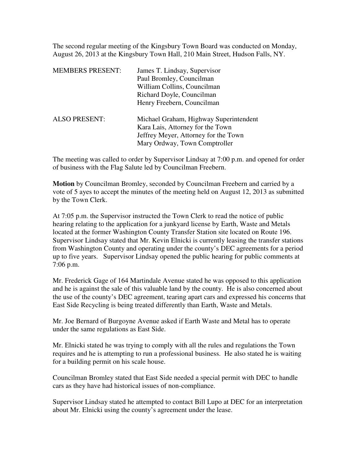The second regular meeting of the Kingsbury Town Board was conducted on Monday, August 26, 2013 at the Kingsbury Town Hall, 210 Main Street, Hudson Falls, NY.

| <b>MEMBERS PRESENT:</b> | James T. Lindsay, Supervisor<br>Paul Bromley, Councilman<br>William Collins, Councilman<br>Richard Doyle, Councilman<br>Henry Freebern, Councilman  |
|-------------------------|-----------------------------------------------------------------------------------------------------------------------------------------------------|
| <b>ALSO PRESENT:</b>    | Michael Graham, Highway Superintendent<br>Kara Lais, Attorney for the Town<br>Jeffrey Meyer, Attorney for the Town<br>Mary Ordway, Town Comptroller |

The meeting was called to order by Supervisor Lindsay at 7:00 p.m. and opened for order of business with the Flag Salute led by Councilman Freebern.

**Motion** by Councilman Bromley, seconded by Councilman Freebern and carried by a vote of 5 ayes to accept the minutes of the meeting held on August 12, 2013 as submitted by the Town Clerk.

At 7:05 p.m. the Supervisor instructed the Town Clerk to read the notice of public hearing relating to the application for a junkyard license by Earth, Waste and Metals located at the former Washington County Transfer Station site located on Route 196. Supervisor Lindsay stated that Mr. Kevin Elnicki is currently leasing the transfer stations from Washington County and operating under the county's DEC agreements for a period up to five years. Supervisor Lindsay opened the public hearing for public comments at 7:06 p.m.

Mr. Frederick Gage of 164 Martindale Avenue stated he was opposed to this application and he is against the sale of this valuable land by the county. He is also concerned about the use of the county's DEC agreement, tearing apart cars and expressed his concerns that East Side Recycling is being treated differently than Earth, Waste and Metals.

Mr. Joe Bernard of Burgoyne Avenue asked if Earth Waste and Metal has to operate under the same regulations as East Side.

Mr. Elnicki stated he was trying to comply with all the rules and regulations the Town requires and he is attempting to run a professional business. He also stated he is waiting for a building permit on his scale house.

Councilman Bromley stated that East Side needed a special permit with DEC to handle cars as they have had historical issues of non-compliance.

Supervisor Lindsay stated he attempted to contact Bill Lupo at DEC for an interpretation about Mr. Elnicki using the county's agreement under the lease.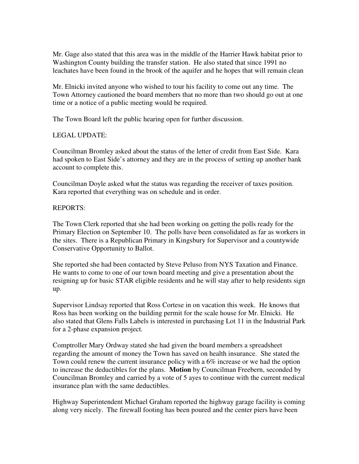Mr. Gage also stated that this area was in the middle of the Harrier Hawk habitat prior to Washington County building the transfer station. He also stated that since 1991 no leachates have been found in the brook of the aquifer and he hopes that will remain clean

Mr. Elnicki invited anyone who wished to tour his facility to come out any time. The Town Attorney cautioned the board members that no more than two should go out at one time or a notice of a public meeting would be required.

The Town Board left the public hearing open for further discussion.

## LEGAL UPDATE:

Councilman Bromley asked about the status of the letter of credit from East Side. Kara had spoken to East Side's attorney and they are in the process of setting up another bank account to complete this.

Councilman Doyle asked what the status was regarding the receiver of taxes position. Kara reported that everything was on schedule and in order.

## REPORTS:

The Town Clerk reported that she had been working on getting the polls ready for the Primary Election on September 10. The polls have been consolidated as far as workers in the sites. There is a Republican Primary in Kingsbury for Supervisor and a countywide Conservative Opportunity to Ballot.

She reported she had been contacted by Steve Peluso from NYS Taxation and Finance. He wants to come to one of our town board meeting and give a presentation about the resigning up for basic STAR eligible residents and he will stay after to help residents sign up.

Supervisor Lindsay reported that Ross Cortese in on vacation this week. He knows that Ross has been working on the building permit for the scale house for Mr. Elnicki. He also stated that Glens Falls Labels is interested in purchasing Lot 11 in the Industrial Park for a 2-phase expansion project.

Comptroller Mary Ordway stated she had given the board members a spreadsheet regarding the amount of money the Town has saved on health insurance. She stated the Town could renew the current insurance policy with a 6% increase or we had the option to increase the deductibles for the plans. **Motion** by Councilman Freebern, seconded by Councilman Bromley and carried by a vote of 5 ayes to continue with the current medical insurance plan with the same deductibles.

Highway Superintendent Michael Graham reported the highway garage facility is coming along very nicely. The firewall footing has been poured and the center piers have been